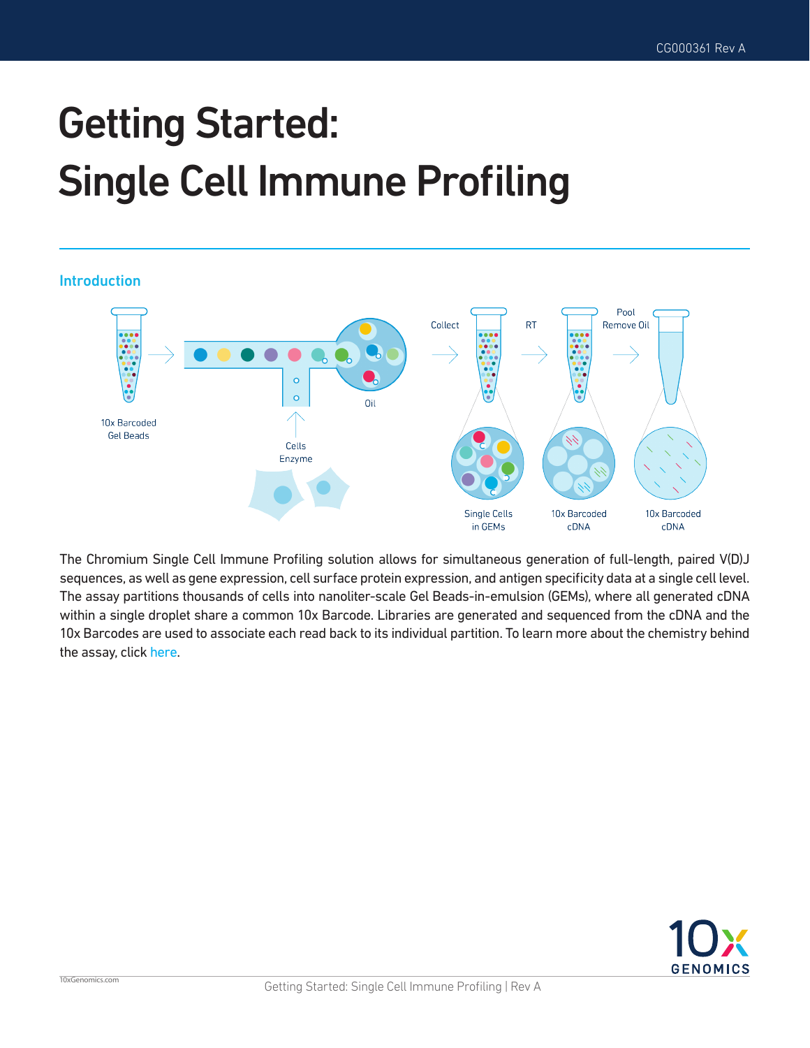# Getting Started: Single Cell Immune Profiling

Introduction



The Chromium Single Cell Immune Profiling solution allows for simultaneous generation of full-length, paired V(D)J sequences, as well as gene expression, cell surface protein expression, and antigen specificity data at a single cell level. The assay partitions thousands of cells into nanoliter-scale Gel Beads-in-emulsion (GEMs), where all generated cDNA within a single droplet share a common 10x Barcode. Libraries are generated and sequenced from the cDNA and the 10x Barcodes are used to associate each read back to its individual partition. To learn more about the chemistry behind the assay, click [here.](https://www.10xgenomics.com/support-webinars-single-cell-immune-profiling/)

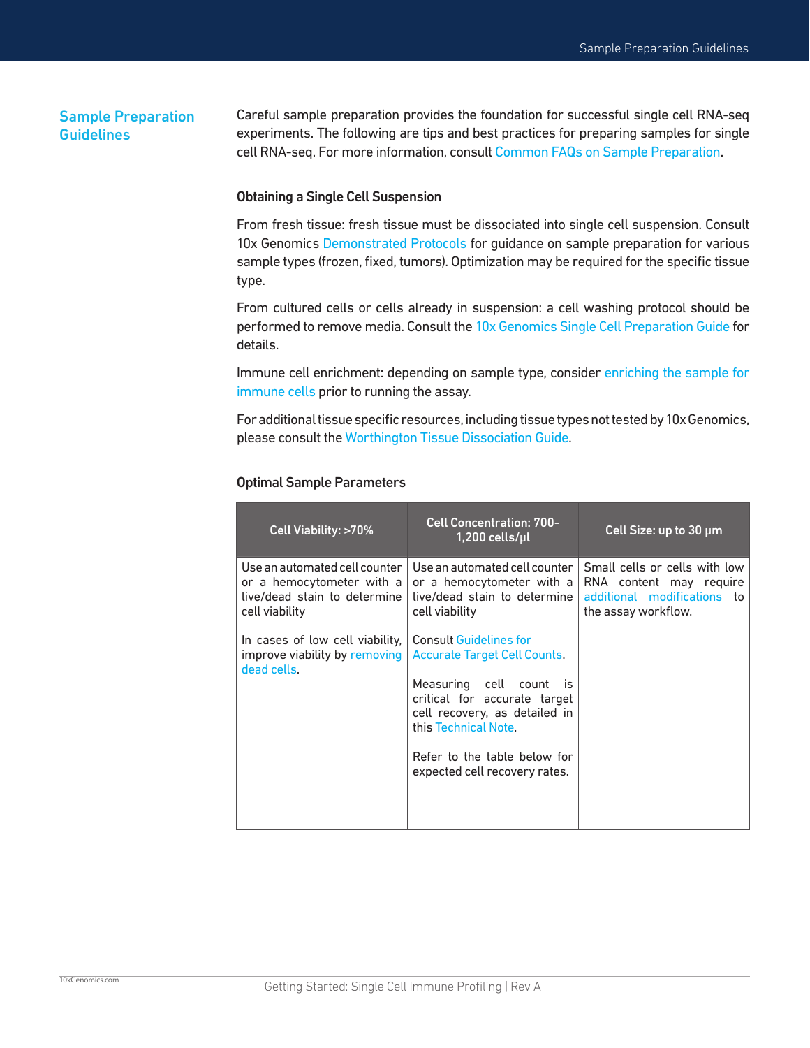### Sample Preparation **Guidelines**

10xGenomics.com

Careful sample preparation provides the foundation for successful single cell RNA-seq experiments. The following are tips and best practices for preparing samples for single cell RNA-seq. For more information, consult [Common FAQs on Sample Preparation.](https://kb.10xgenomics.com/hc/en-us/sections/360000343772-Sample-Prep-Cells)

### Obtaining a Single Cell Suspension

From fresh tissue: fresh tissue must be dissociated into single cell suspension. Consult 10x Genomics [Demonstrated Protocols](https://support.10xgenomics.com/single-cell-vdj/sample-prep) for quidance on sample preparation for various sample types (frozen, fixed, tumors). Optimization may be required for the specific tissue type.

From cultured cells or cells already in suspension: a cell washing protocol should be performed to remove media. Consult the [10x Genomics Single Cell Preparation Guide](https://support.10xgenomics.com/single-cell-vdj/sample-prep/doc/demonstrated-protocol-single-cell-protocols-cell-preparation-guide) for details.

Immune cell enrichment: depending on sample type, consider [enriching the sample for](https://kb.10xgenomics.com/hc/en-us/articles/115002488623-Recommended-T-and-B-cell-enrichment-protocols)  [immune cells](https://kb.10xgenomics.com/hc/en-us/articles/115002488623-Recommended-T-and-B-cell-enrichment-protocols) prior to running the assay.

For additional tissue specific resources, including tissue types not tested by 10x Genomics, please consult the [Worthington Tissue Dissociation Guide.](http://www.worthington-biochem.com/tissuedissociation/)

| Cell Viability: >70%                                                                                         | <b>Cell Concentration: 700-</b><br>$1,200$ cells/µl                                                                                                                                                                                                       | Cell Size: up to $30 \mu m$                                                                                    |
|--------------------------------------------------------------------------------------------------------------|-----------------------------------------------------------------------------------------------------------------------------------------------------------------------------------------------------------------------------------------------------------|----------------------------------------------------------------------------------------------------------------|
| Use an automated cell counter<br>or a hemocytometer with a<br>live/dead stain to determine<br>cell viability | Use an automated cell counter<br>or a hemocytometer with a<br>live/dead stain to determine<br>cell viability                                                                                                                                              | Small cells or cells with low<br>RNA content may require<br>additional modifications to<br>the assay workflow. |
| In cases of low cell viability,<br>improve viability by removing<br>dead cells.                              | <b>Consult Guidelines for</b><br><b>Accurate Target Cell Counts.</b><br>Measuring cell count is<br>critical for accurate target<br>cell recovery, as detailed in<br>this Technical Note.<br>Refer to the table below for<br>expected cell recovery rates. |                                                                                                                |

### Optimal Sample Parameters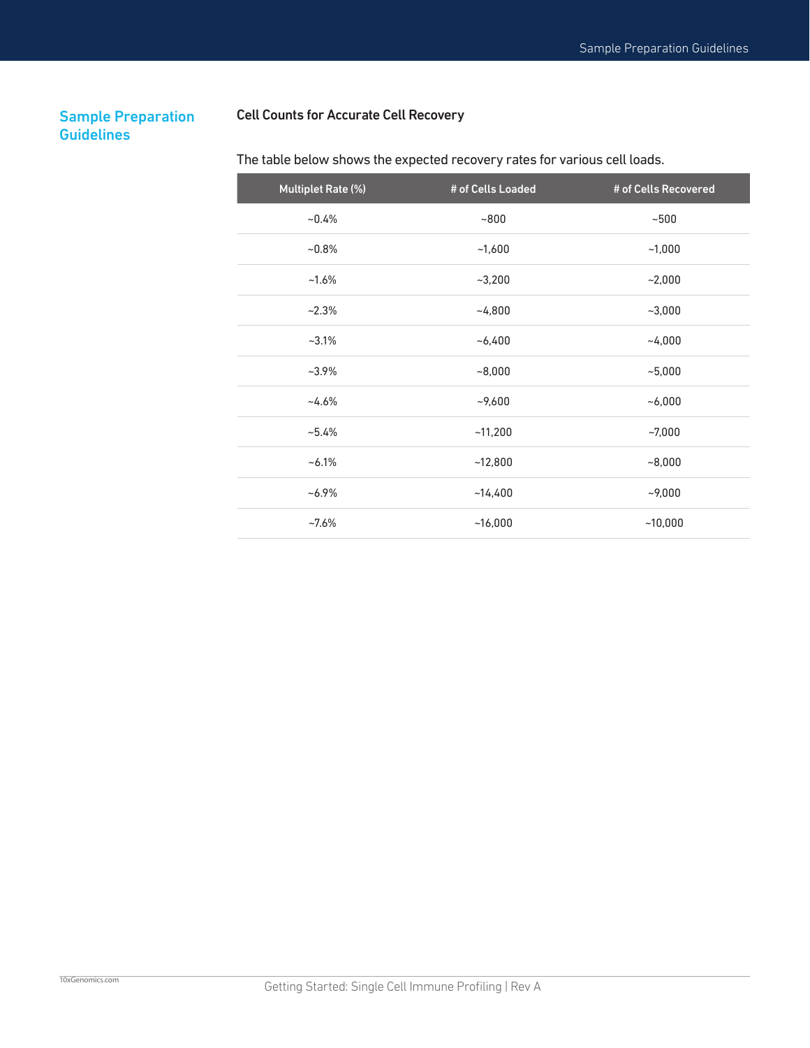### Sample Preparation **Guidelines**

### Cell Counts for Accurate Cell Recovery

## Multiplet Rate (%)  $\qquad$  # of Cells Loaded # of Cells Recovered  $\sim$ 0.4%  $\sim$ 800  $\sim$ 500  $\sim 0.8\%$   $\sim 1,600$   $\sim 1,000$  $\sim$ 1.6%  $\sim$ 3,200  $\sim$ 2,000  $\sim$ 2.3%  $\sim$ 4,800  $\sim$ 3,000  $\sim$  3.1%  $\sim$  6,400  $\sim$  4,000  $\sim$ 3.9%  $\sim$ 8,000  $\sim$ 8,000  $\sim$ 5,000  $\sim$ 4.6%  $\sim$ 9,600  $\sim$ 6,000  $~11,200$   $~11,200$   $~10,000$  $\sim$  6.1%  $\sim$  12,800  $\sim$  8,000

 $~14,400$   $~14,400$   $~19,000$ 

 $~16,000$   $~16,000$   $~10,000$ 

### The table below shows the expected recovery rates for various cell loads.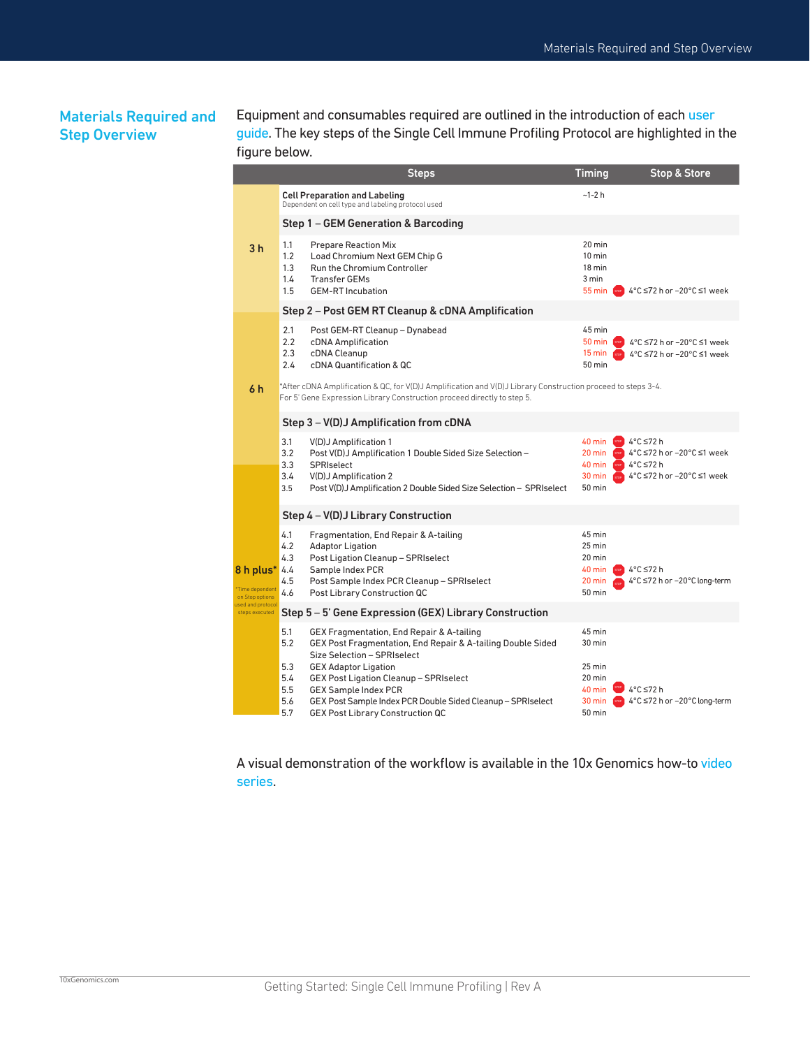### Materials Required and Step Overview

Equipment and consumables required are outlined in the introduction of each [user](https://support.10xgenomics.com/single-cell-vdj/library-prep/doc/user-guide-selecting-the-correct-single-cell-immune-profiling-user-guide)  [guide](https://support.10xgenomics.com/single-cell-vdj/library-prep/doc/user-guide-selecting-the-correct-single-cell-immune-profiling-user-guide). The key steps of the Single Cell Immune Profiling Protocol are highlighted in the figure below.

|                                                |                                                                                                                                                                                         | <b>Steps</b>                                                                                                                                                                                                                                                                                                                                              | <b>Timing</b>                                                                  | <b>Stop &amp; Store</b>                                                                                           |  |  |  |
|------------------------------------------------|-----------------------------------------------------------------------------------------------------------------------------------------------------------------------------------------|-----------------------------------------------------------------------------------------------------------------------------------------------------------------------------------------------------------------------------------------------------------------------------------------------------------------------------------------------------------|--------------------------------------------------------------------------------|-------------------------------------------------------------------------------------------------------------------|--|--|--|
| 3 <sub>h</sub>                                 |                                                                                                                                                                                         | <b>Cell Preparation and Labeling</b><br>Dependent on cell type and labeling protocol used                                                                                                                                                                                                                                                                 | $-1-2 h$                                                                       |                                                                                                                   |  |  |  |
|                                                |                                                                                                                                                                                         | Step 1 - GEM Generation & Barcoding                                                                                                                                                                                                                                                                                                                       |                                                                                |                                                                                                                   |  |  |  |
|                                                | 1.1<br>1.2<br>1.3<br>1.4<br>1.5                                                                                                                                                         | <b>Prepare Reaction Mix</b><br>Load Chromium Next GEM Chip G<br><b>Run the Chromium Controller</b><br><b>Transfer GEMs</b><br><b>GEM-RT</b> Incubation                                                                                                                                                                                                    | $20 \text{ min}$<br>$10 \text{ min}$<br>18 min<br>3 min<br>$55 \text{ min}$    | 4°C ≤72 h or -20°C ≤1 week                                                                                        |  |  |  |
|                                                |                                                                                                                                                                                         | Step 2 - Post GEM RT Cleanup & cDNA Amplification                                                                                                                                                                                                                                                                                                         |                                                                                |                                                                                                                   |  |  |  |
|                                                | 2.1<br>2.2<br>2.3<br>2.4                                                                                                                                                                | Post GEM-RT Cleanup - Dynabead<br>cDNA Amplification<br>cDNA Cleanup<br>cDNA Quantification & QC                                                                                                                                                                                                                                                          | 45 min<br>$50 \text{ min}$<br>15 min<br>50 min                                 | 4°C ≤72 h or -20°C ≤1 week<br>4°C ≤72 h or -20°C ≤1 week                                                          |  |  |  |
| 6 h                                            | *After cDNA Amplification & QC, for V(D)J Amplification and V(D)J Library Construction proceed to steps 3-4.<br>For 5' Gene Expression Library Construction proceed directly to step 5. |                                                                                                                                                                                                                                                                                                                                                           |                                                                                |                                                                                                                   |  |  |  |
|                                                |                                                                                                                                                                                         | Step 3 – V(D)J Amplification from cDNA                                                                                                                                                                                                                                                                                                                    |                                                                                |                                                                                                                   |  |  |  |
|                                                | 3.1<br>3.2<br>3.3<br>3.4<br>3.5                                                                                                                                                         | V(D)J Amplification 1<br>Post V(D)J Amplification 1 Double Sided Size Selection -<br>SPRIselect<br>V(D)J Amplification 2<br>Post V(D)J Amplification 2 Double Sided Size Selection - SPRIselect                                                                                                                                                           | 40 min<br>20 min<br>40 min<br>30 min<br>50 min                                 | <sup>nop</sup> 4°C ≤72 h<br>4°C ≤72 h or -20°C ≤1 week<br>$4^{\circ}$ C $\leq$ 72 h<br>4°C ≤72 h or -20°C ≤1 week |  |  |  |
|                                                |                                                                                                                                                                                         | Step 4 - V(D)J Library Construction                                                                                                                                                                                                                                                                                                                       |                                                                                |                                                                                                                   |  |  |  |
| 8 h plus*<br>Time dependent<br>on Stop options | 4.1<br>4.2<br>4.3<br>4.4<br>4.5<br>4.6                                                                                                                                                  | Fragmentation, End Repair & A-tailing<br><b>Adaptor Ligation</b><br>Post Ligation Cleanup - SPRIselect<br>Sample Index PCR<br>Post Sample Index PCR Cleanup - SPRIselect<br>Post Library Construction QC                                                                                                                                                  | 45 min<br>$25$ min<br>20 min<br>40 min<br>20 min<br>50 min                     | 4°C ≤72 h<br>4°C ≤72 h or -20°C long-term                                                                         |  |  |  |
| used and protoco<br>steps executed             | Step 5 – 5' Gene Expression (GEX) Library Construction                                                                                                                                  |                                                                                                                                                                                                                                                                                                                                                           |                                                                                |                                                                                                                   |  |  |  |
|                                                | 5.1<br>5.2<br>5.3<br>5.4<br>5.5<br>5.6<br>5.7                                                                                                                                           | GEX Fragmentation, End Repair & A-tailing<br>GEX Post Fragmentation, End Repair & A-tailing Double Sided<br>Size Selection - SPRIselect<br><b>GEX Adaptor Ligation</b><br>GEX Post Ligation Cleanup - SPRIselect<br><b>GEX Sample Index PCR</b><br>GEX Post Sample Index PCR Double Sided Cleanup - SPRIselect<br><b>GEX Post Library Construction QC</b> | 45 min<br>$30 \text{ min}$<br>$25$ min<br>20 min<br>40 min<br>30 min<br>50 min | 4°C ≤72 h<br>4°C ≤72 h or -20°C long-term                                                                         |  |  |  |

A visual demonstration of the workflow is available in the 10x Genomics how-to [video](https://pages.10xgenomics.com/sup-how-to-single-cell-5-v2-dual-index.html)  [series](https://pages.10xgenomics.com/sup-how-to-single-cell-5-v2-dual-index.html).